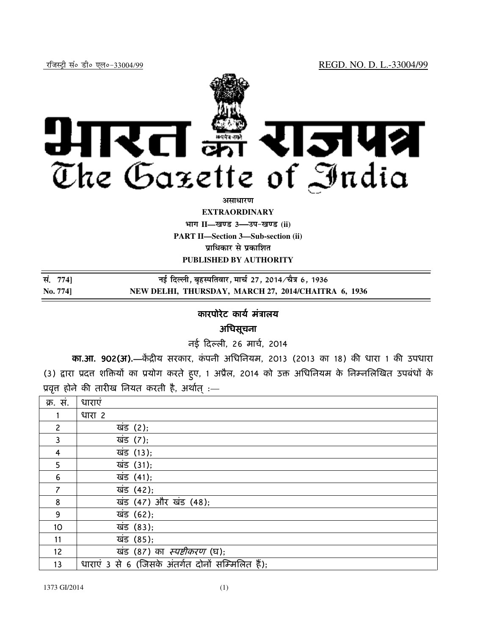

### **EXTRAORDINARY**

**Hkkx II—[k.M 3—mi&[k.M (ii) PART II—Section 3—Sub-section (ii) प्राधिकार से प्रकाशित** 

**PUBLISHED BY AUTHORITY**

| सं. 7741 | नई दिल्ली, बृहस्पतिवार, मार्च 27, 2014∕चैत्र 6, 1936 |
|----------|------------------------------------------------------|
| No. 774] | NEW DELHI, THURSDAY, MARCH 27, 2014/CHAITRA 6, 1936  |

## कारपोरेट कार्य मत्रालय

# अधिसूचना

नई दली, 26 माच , 2014

**का.आ. 902(अ).**—केंद्रीय सरकार, कंपनी अधिनियम, 2013 (2013 का 18) की धारा 1 की उपधारा (3) द्वारा प्रदत्त शक्तियों का प्रयोग करते हुए, 1 अप्रैल, 2014 को उक्त अधिनियम के निम्नलिखित उपबंधों के प्रवृत्त होने की तारीख नियत करती है, अर्थात् :—

| क्र. स.        | धाराएं                                            |
|----------------|---------------------------------------------------|
|                |                                                   |
|                | धारा 2                                            |
| $\mathbf{2}$   | खंड (2);                                          |
| 3              | खंड (7);                                          |
| 4              | खंड (13);                                         |
| 5              | खंड (31);                                         |
| 6              | खंड (41);                                         |
| $\overline{7}$ | खंड (42);                                         |
| 8              | खंड (47) और खंड (48);                             |
| 9              | खंड (62);                                         |
| 10             | खंड (83);                                         |
| 11             | खंड (85);                                         |
| 12             | खंड (87) का <i>स्पष्टीकरण</i> (घ);                |
| 13             | धाराएं 3 से 6 (जिसके अंतर्गत दोनों सम्मिलित हैं); |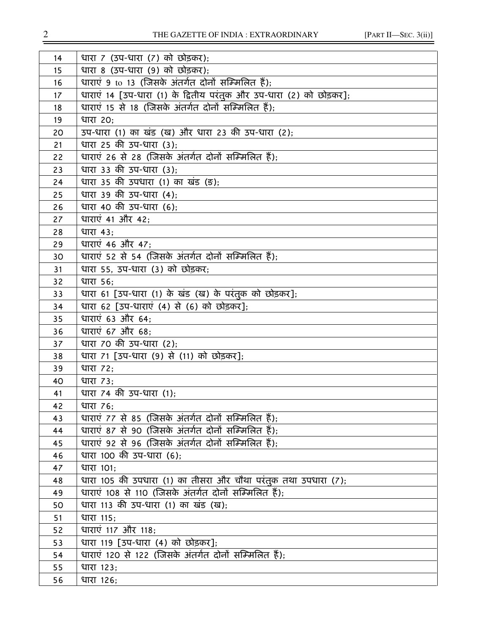| 14 | धारा 7 (उप-धारा (7) को छोड़कर);                                     |
|----|---------------------------------------------------------------------|
| 15 | धारा 8 (उप-धारा (9) को छोड़कर);                                     |
| 16 | धाराएं 9 to 13 (जिसके अंतर्गत दोनों सम्मिलित हैं);                  |
| 17 | धाराएं 14 [उप-धारा (1) के द्वितीय परंतुक और उप-धारा (2) को छोड़कर]; |
| 18 | धाराएं 15 से 18 (जिसके अंतर्गत दोनों सम्मिलित हैं);                 |
| 19 | धारा 20;                                                            |
| 20 | उप-धारा (1) का खंड (ख) और धारा 23 की उप-धारा (2);                   |
| 21 | धारा 25 की उप-धारा (3);                                             |
| 22 | धाराएं 26 से 28 (जिसके अंतर्गत दोनों सम्मिलित हैं);                 |
| 23 | धारा 33 की उप-धारा (3);                                             |
| 24 | धारा 35 की उपधारा (1) का खंड (ङ);                                   |
| 25 | धारा 39 की उप-धारा (4);                                             |
| 26 | धारा 40 की उप-धारा (6);                                             |
| 27 | धाराएं 41 और 42;                                                    |
| 28 | <b>धारा 43;</b>                                                     |
| 29 | धाराएं 46 और 47;                                                    |
| 30 | धाराएं 52 से 54 (जिसके अंतर्गत दोनों सम्मिलित हैं);                 |
| 31 | धारा 55, उप-धारा (3) को छोड़कर;                                     |
| 32 | <b>धारा 56:</b>                                                     |
| 33 | धारा 61 [उप-धारा (1) के खंड (ख) के परंतुक को छोड़कर];               |
| 34 | धारा 62 [उप-धाराएं (4) से (6) को छोड़कर];                           |
| 35 | धाराएं 63 और 64;                                                    |
| 36 | धाराएं 67 और 68;                                                    |
| 37 | धारा 70 की उप-धारा (2);                                             |
| 38 | धारा 71 [उप-धारा (9) से (11) को छोड़कर];                            |
| 39 | धारा <i>72</i> ;                                                    |
| 40 | धारा 73;                                                            |
| 41 | धारा 74 की उप-धारा (1);                                             |
| 42 | धारा 76:                                                            |
| 43 | धाराएं 77 से 85 (जिसके अंतर्गत दोनों सम्मिलित हैं);                 |
| 44 | धाराएं 87 से 90 (जिसके अंतर्गत दोनों सम्मिलित हैं);                 |
| 45 | धाराएं 92 से 96 (जिसके अंतर्गत दोनों सम्मिलित हैं);                 |
| 46 | धारा 100 की उप-धारा (6);                                            |
| 47 | धारा 101;                                                           |
| 48 | धारा 105 की उपधारा (1) का तीसरा और चौथा परंतुक तथा उपधारा (7);      |
| 49 | धाराएं 108 से 110 (जिसके अंतर्गत दोनों सम्मिलित हैं);               |
| 50 | धारा 113 की उप-धारा (1) का खंड (ख);                                 |
| 51 | धारा 115;                                                           |
| 52 | धाराएं 117 और 118;                                                  |
| 53 | धारा 119 [उप-धारा (4) को छोड़कर];                                   |
| 54 | धाराएं 120 से 122 (जिसके अंतर्गत दोनों सम्मिलित हैं);               |
| 55 | धारा 123;                                                           |
| 56 | धारा 126;                                                           |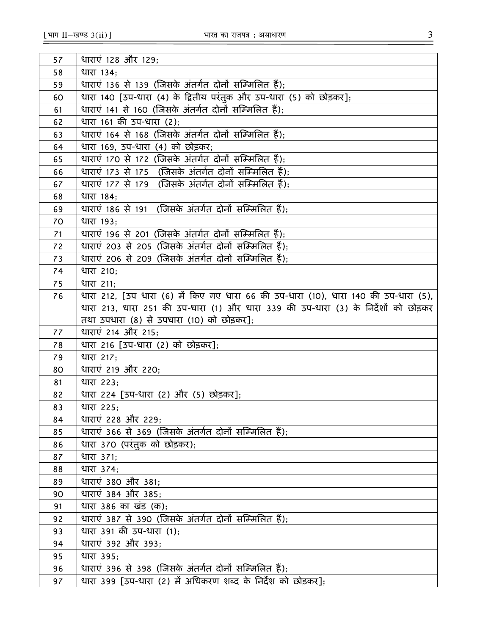| 57       | धाराएं 128 और 129;                                                                  |
|----------|-------------------------------------------------------------------------------------|
| 58       | धारा 134;                                                                           |
| 59       | धाराएं 136 से 139 (जिसके अंतर्गत दोनों सम्मिलित हैं);                               |
| 60       | धारा 140 [उप-धारा (4) के द्वितीय परंतुक और उप-धारा (5) को छोड़कर];                  |
| 61       | धाराएं 141 से 160 (जिसके अंतर्गत दोनों सम्मिलित हैं);                               |
| 62       | धारा 161 की उप-धारा (2);                                                            |
| 63       | धाराएं 164 से 168 (जिसके अंतर्गत दोनों सम्मिलित हैं);                               |
| 64       | धारा 169, उप-धारा (4) को छोड़कर;                                                    |
| 65       | धाराएं 170 से 172 (जिसके अंतर्गत दोनों सम्मिलित हैं);                               |
| 66       | धाराएं 173 से 175 (जिसके अंतर्गत दोनों सम्मिलित हैं);                               |
| 67       | धाराएं 177 से 179 (जिसके अंतर्गत दोनों सम्मिलित हैं);                               |
| 68       | धारा 184;                                                                           |
| 69       | धाराएं 186 से 191  (जिसके अंतर्गत दोनों सम्मिलित हैं);                              |
| 70       | धारा 193;                                                                           |
| 71       | धाराएं 196 से 201 (जिसके अंतर्गत दोनों सम्मिलित हैं);                               |
| 72       | धाराएं 203 से 205 (जिसके अंतर्गत दोनों सम्मिलित हैं);                               |
| 73       | धाराएं 206 से 209 (जिसके अंतर्गत दोनों सम्मिलित हैं):                               |
| 74       | धारा 210;                                                                           |
| 75       | धारा 211:                                                                           |
| 76       | धारा 212, [उप धारा (6) में किए गए धारा 66 की उप-धारा (10), धारा 140 की उप-धारा (5), |
|          | धारा 213, धारा 251 की उप-धारा (1) और धारा 339 की उप-धारा (3) के निर्देशों को छोड़कर |
|          | तथा उपधारा (8) से उपधारा (10) को छोड़कर];                                           |
| 77       | धाराएं 214 और 215;                                                                  |
| 78       | धारा 216 [उप-धारा (2) को छोड़कर];                                                   |
| 79       | धारा 217;                                                                           |
| 80       | धाराएं 219 और 220;                                                                  |
| 81       | धारा 223;                                                                           |
| 82       | धारा 224 [उप-धारा (2) और (5) छोड़कर];                                               |
| 83       | धारा 225;                                                                           |
| 84       | धाराएं 228 और 229;                                                                  |
| 85       | धाराएं 366 से 369 (जिसके अंतर्गत दोनों सम्मिलित हैं);                               |
| 86       | धारा 370 (परंतुक को छोड़कर);                                                        |
| 87       | धारा 371;                                                                           |
| 88       | धारा 374;<br>धाराएं 380 और 381;                                                     |
| 89       | धाराएं 384 और 385:                                                                  |
| 90<br>91 | धारा 386 का खंड (क);                                                                |
| 92       | धाराएं 387 से 390 (जिसके अंतर्गत दोनों सम्मिलित हैं);                               |
| 93       | धारा 391 की उप-धारा (1);                                                            |
| 94       | धाराएं 392 और 393;                                                                  |
| 95       | धारा 395;                                                                           |
| 96       | धाराएं 396 से 398 (जिसके अंतर्गत दोनों सम्मिलित हैं);                               |
| 97       | धारा 399 [उप-धारा (2) में अधिकरण शब्द के निर्देश को छोड़कर];                        |
|          |                                                                                     |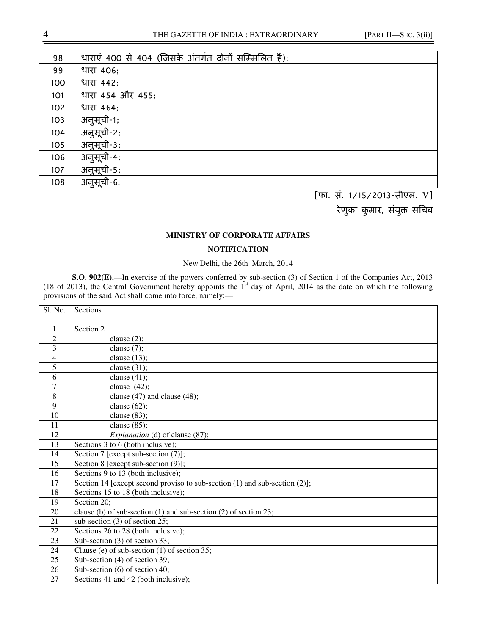| 98  | धाराएं 400 से 404 (जिसके अंतर्गत दोनों सम्मिलित हैं); |
|-----|-------------------------------------------------------|
| 99  | धारा 406;                                             |
| 100 | धारा 442;                                             |
| 101 | धारा 454 और 455;                                      |
| 102 | धारा 464;                                             |
| 103 | अनुसूची-1;                                            |
| 104 | अनुसूची-2;                                            |
| 105 | अनुसूची-3;                                            |
| 106 | अनुसूची-4;                                            |
| 107 | अनुसूची-5;                                            |
| 108 | अनुसूची-6.                                            |

[फा. सं. 1/15/2013-सीएल. V]

रेणुका कुमार, संयुक्त सचिव

#### **MINISTRY OF CORPORATE AFFAIRS**

### **NOTIFICATION**

New Delhi, the 26th March, 2014

**S.O. 902(E).**—In exercise of the powers conferred by sub-section (3) of Section 1 of the Companies Act, 2013 (18 of 2013), the Central Government hereby appoints the  $1<sup>st</sup>$  day of April, 2014 as the date on which the following provisions of the said Act shall come into force, namely:—

| Sl. No.        | Sections                                                                   |
|----------------|----------------------------------------------------------------------------|
| $\mathbf{1}$   | Section 2                                                                  |
| $\overline{c}$ | clause $(2)$ ;                                                             |
| 3              | clause $(7)$ ;                                                             |
| $\overline{4}$ | clause $(13)$ ;                                                            |
| 5              | clause $(31)$ ;                                                            |
| 6              | clause $(41)$ ;                                                            |
| $\overline{7}$ | clause $(42)$ ;                                                            |
| 8              | clause $(47)$ and clause $(48)$ ;                                          |
| 9              | clause $(62)$ ;                                                            |
| 10             | clause $(83)$ ;                                                            |
| 11             | clause $(85)$ ;                                                            |
| 12             | <i>Explanation</i> (d) of clause (87);                                     |
| 13             | Sections 3 to 6 (both inclusive);                                          |
| 14             | Section 7 [except sub-section (7)];                                        |
| 15             | Section 8 [except sub-section (9)];                                        |
| 16             | Sections 9 to 13 (both inclusive);                                         |
| 17             | Section 14 [except second proviso to sub-section (1) and sub-section (2)]; |
| 18             | Sections 15 to 18 (both inclusive);                                        |
| 19             | Section 20:                                                                |
| 20             | clause (b) of sub-section (1) and sub-section (2) of section 23;           |
| 21             | sub-section (3) of section 25;                                             |
| 22             | Sections 26 to 28 (both inclusive);                                        |
| 23             | Sub-section (3) of section 33;                                             |
| 24             | Clause (e) of sub-section (1) of section 35;                               |
| 25             | Sub-section (4) of section 39;                                             |
| 26             | Sub-section (6) of section 40;                                             |
| 27             | Sections 41 and 42 (both inclusive);                                       |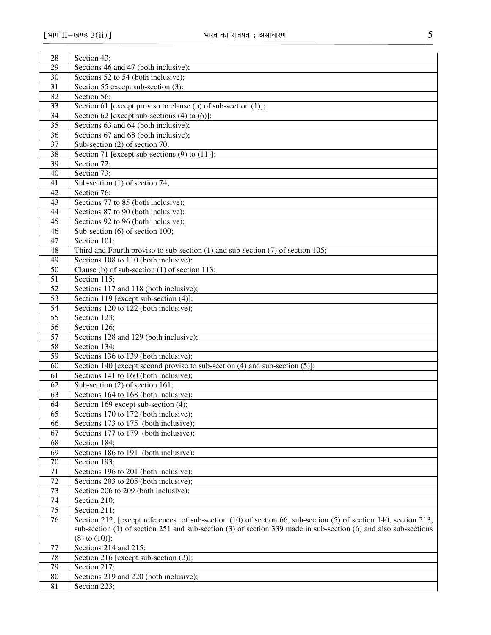| 28 | Section 43;                                                                                                           |
|----|-----------------------------------------------------------------------------------------------------------------------|
| 29 | Sections 46 and 47 (both inclusive);                                                                                  |
| 30 | Sections 52 to 54 (both inclusive);                                                                                   |
| 31 | Section 55 except sub-section (3);                                                                                    |
| 32 | Section 56;                                                                                                           |
| 33 | Section 61 [except proviso to clause (b) of sub-section $(1)$ ];                                                      |
| 34 | Section 62 [except sub-sections $(4)$ to $(6)$ ];                                                                     |
| 35 | Sections 63 and 64 (both inclusive);                                                                                  |
| 36 | Sections 67 and 68 (both inclusive);                                                                                  |
| 37 | Sub-section $(2)$ of section 70;                                                                                      |
| 38 | Section 71 [except sub-sections $(9)$ to $(11)$ ];                                                                    |
| 39 | Section 72;                                                                                                           |
| 40 | Section 73;                                                                                                           |
| 41 | Sub-section (1) of section 74;                                                                                        |
| 42 | Section 76;                                                                                                           |
| 43 | Sections 77 to 85 (both inclusive);                                                                                   |
| 44 | Sections 87 to 90 (both inclusive);                                                                                   |
| 45 | Sections 92 to 96 (both inclusive);                                                                                   |
| 46 | Sub-section $(6)$ of section 100;                                                                                     |
| 47 | Section 101;                                                                                                          |
| 48 | Third and Fourth proviso to sub-section $(1)$ and sub-section $(7)$ of section 105;                                   |
| 49 | Sections 108 to 110 (both inclusive);                                                                                 |
| 50 | Clause (b) of sub-section $(1)$ of section 113;                                                                       |
| 51 | Section 115;                                                                                                          |
| 52 | Sections 117 and 118 (both inclusive);                                                                                |
| 53 | Section 119 [except sub-section (4)];                                                                                 |
| 54 | Sections 120 to 122 (both inclusive);                                                                                 |
| 55 | Section 123;                                                                                                          |
| 56 | Section 126;                                                                                                          |
| 57 | Sections 128 and 129 (both inclusive);                                                                                |
| 58 | Section 134;                                                                                                          |
| 59 | Sections 136 to 139 (both inclusive);                                                                                 |
| 60 | Section 140 [except second proviso to sub-section $(4)$ and sub-section $(5)$ ];                                      |
| 61 | Sections 141 to 160 (both inclusive);                                                                                 |
| 62 | Sub-section $(2)$ of section 161;                                                                                     |
| 63 | Sections 164 to 168 (both inclusive);                                                                                 |
| 64 | Section 169 except sub-section (4);                                                                                   |
| 65 | Sections 170 to 172 (both inclusive);                                                                                 |
| 66 | Sections 173 to 175 (both inclusive);                                                                                 |
| 67 | Sections 177 to 179 (both inclusive);                                                                                 |
| 68 | Section 184;                                                                                                          |
| 69 | Sections 186 to 191 (both inclusive);                                                                                 |
| 70 | Section 193;                                                                                                          |
| 71 | Sections 196 to 201 (both inclusive);                                                                                 |
| 72 | Sections 203 to 205 (both inclusive);                                                                                 |
| 73 | Section 206 to 209 (both inclusive);                                                                                  |
| 74 | Section 210;                                                                                                          |
| 75 | Section 211;                                                                                                          |
| 76 | Section 212, [except references of sub-section (10) of section 66, sub-section (5) of section 140, section 213,       |
|    | sub-section $(1)$ of section 251 and sub-section $(3)$ of section 339 made in sub-section $(6)$ and also sub-sections |
| 77 | $(8)$ to $(10)$ ];<br>Sections 214 and 215;                                                                           |
| 78 | Section 216 [except sub-section (2)];                                                                                 |
| 79 | Section 217;                                                                                                          |
| 80 | Sections 219 and 220 (both inclusive);                                                                                |
| 81 | Section 223;                                                                                                          |
|    |                                                                                                                       |